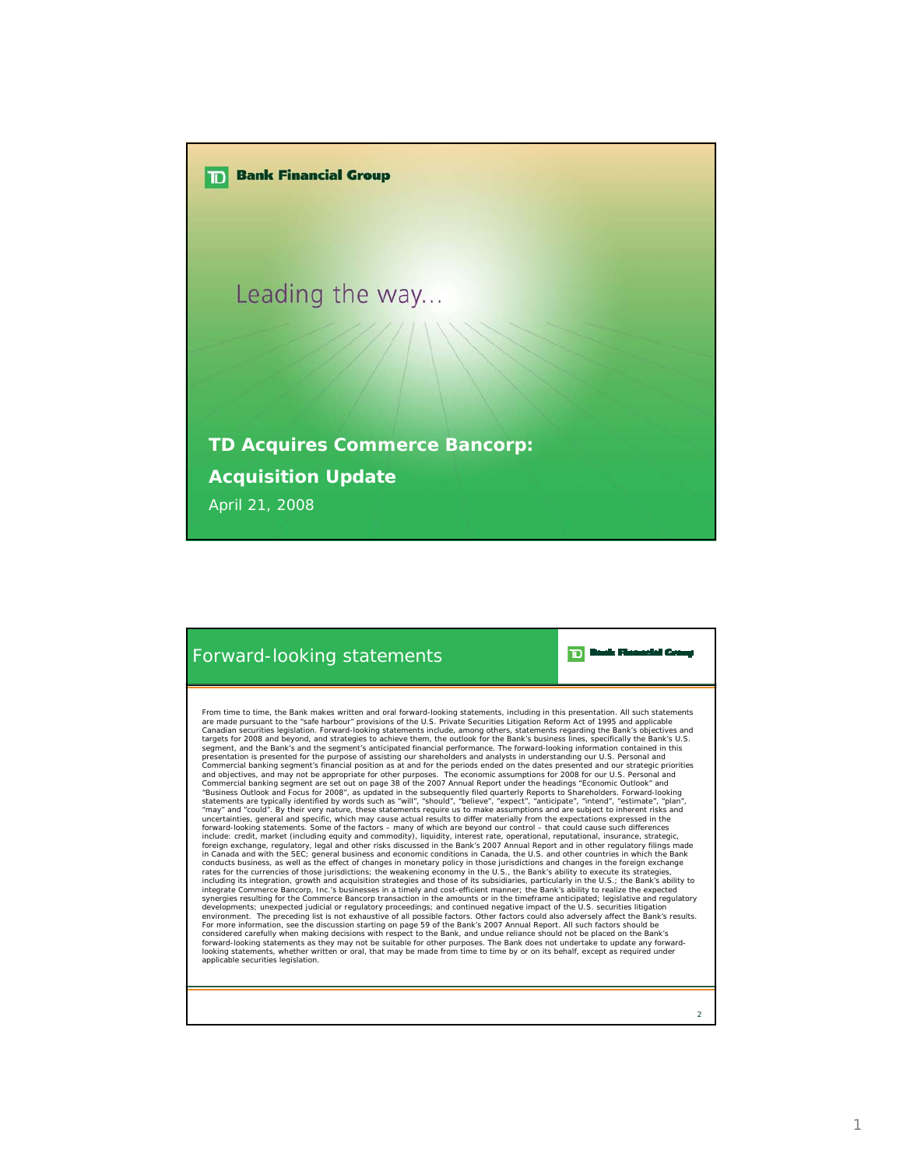



From time to time, the Bank makes written and oral forward-looking statements, including in this presentation. All such statements are made pursuant to the "safe harbour" provisions of the U.S. Private Securities Litigation Reform Act of 1995 and applicable<br>Canadian securities legislation. Forward-looking statements include, among others, statements r presentation is presented for the purpose of assisting our shareholders and analytis in understanding our U.S. Personal and<br>Commercial banking segment's financial position as at and for the periods ended on the dates prese uncertainties, general and specific, which may cause actual results to differ materially from the expectations expressed in the include: original material of the factors – many of which are beyond our control – that could integrate Commerce Bancorp, Inc.'s businesses in a timely and cost-efficient manner; the Bank's ability to realize the expected<br>synergies resulting for the Commerce Bancorp transaction in the amounts or in the timeframe an For more information, see the discussion starting on page 59 of the Bank's 2007 Annual Report. All such factors should be<br>considered carefully when making decisions with respect to the Bank, and undue reliance should not b looking statements, whether written or oral, that may be made from time to time by or on its behalf, except as required under applicable securities legislation.

 $\overline{2}$ 

**TD** Dask Floaselet Co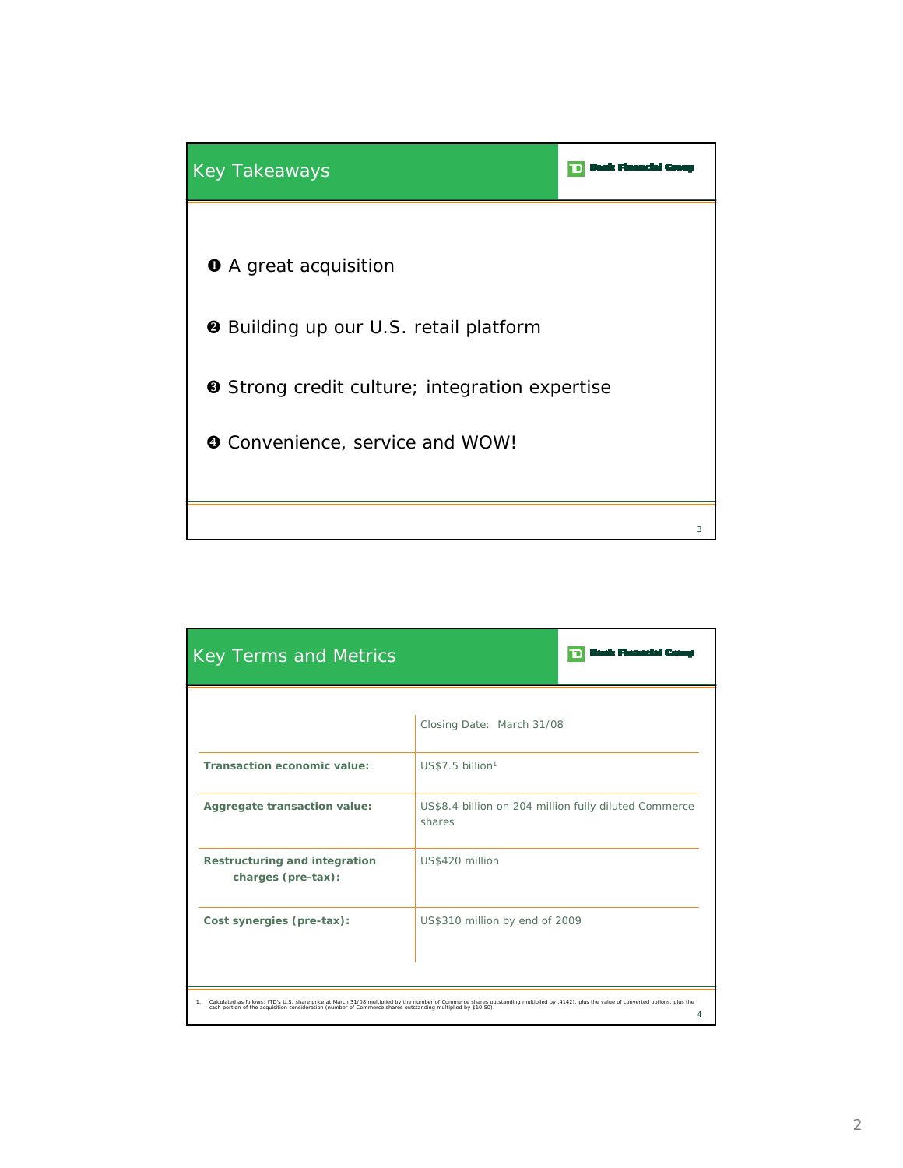

| <b>Key Terms and Metrics</b>                                                                                                                                                                                                                                                                                        |                                                                 |  |  |
|---------------------------------------------------------------------------------------------------------------------------------------------------------------------------------------------------------------------------------------------------------------------------------------------------------------------|-----------------------------------------------------------------|--|--|
|                                                                                                                                                                                                                                                                                                                     | Closing Date: March 31/08                                       |  |  |
| Transaction economic value:                                                                                                                                                                                                                                                                                         | US\$7.5 billion <sup>1</sup>                                    |  |  |
| Aggregate transaction value:                                                                                                                                                                                                                                                                                        | US\$8.4 billion on 204 million fully diluted Commerce<br>shares |  |  |
| Restructuring and integration<br>charges (pre-tax):                                                                                                                                                                                                                                                                 | US\$420 million                                                 |  |  |
| Cost synergies (pre-tax):                                                                                                                                                                                                                                                                                           | US\$310 million by end of 2009                                  |  |  |
| Calculated as follows: (TD's U.S. share price at March 31/08 multiplied by the number of Commerce shares outstanding multiplied by .4142), plus the value of converted options, plus the<br>1.<br>cash portion of the acquisition consideration (number of Commerce shares outstanding multiplied by \$10.50).<br>4 |                                                                 |  |  |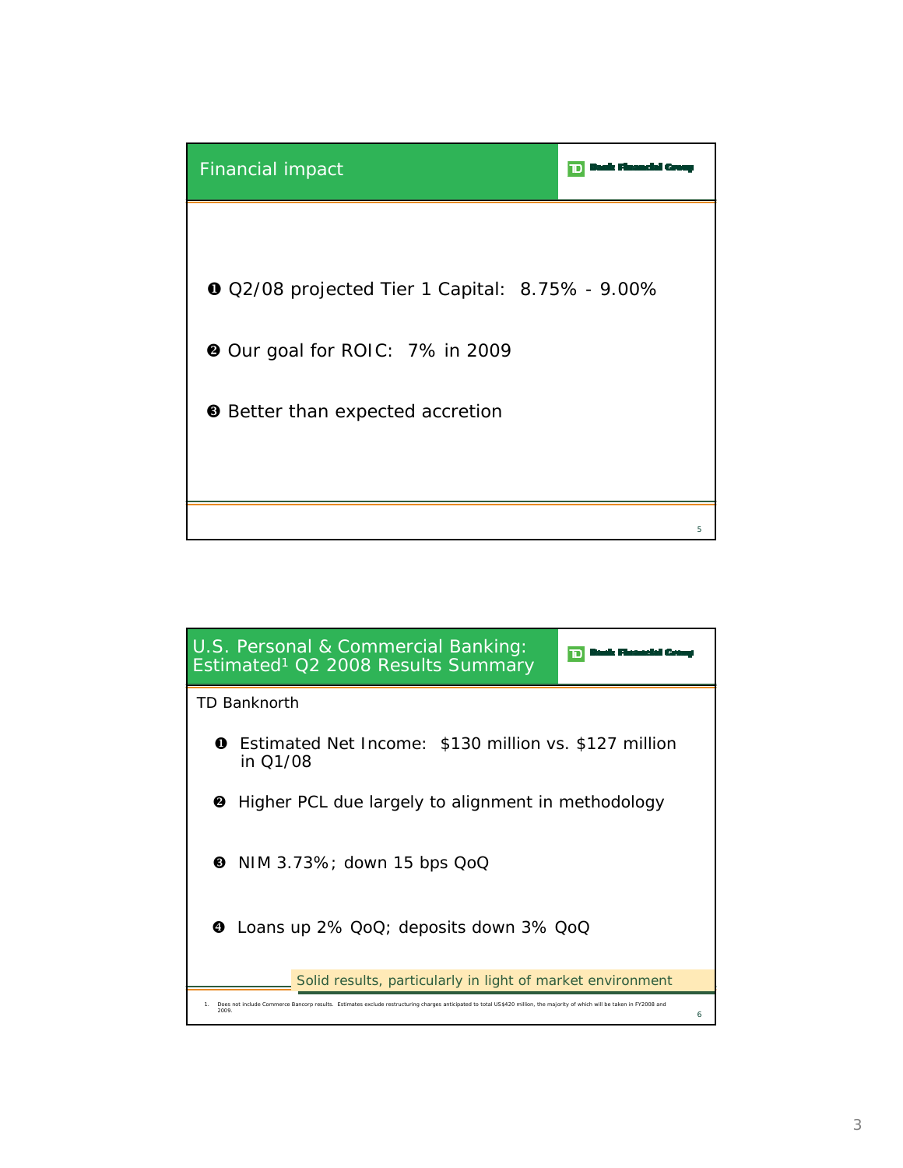

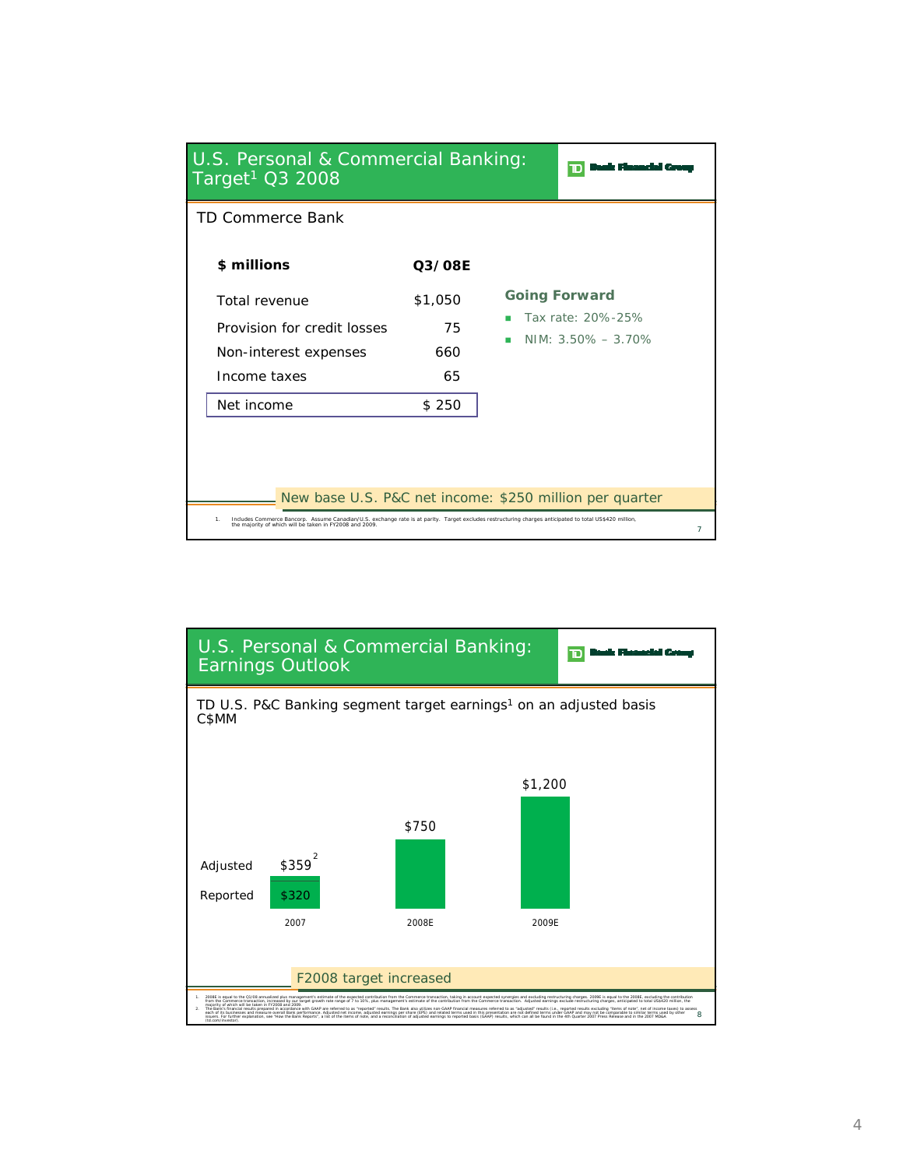| U.S. Personal & Commercial Banking:<br>Target <sup>1</sup> $\overline{Q}$ 3 2008                                                                                                                                                                                                    |                                                      |  |                                                                     |                |
|-------------------------------------------------------------------------------------------------------------------------------------------------------------------------------------------------------------------------------------------------------------------------------------|------------------------------------------------------|--|---------------------------------------------------------------------|----------------|
| TD Commerce Bank                                                                                                                                                                                                                                                                    |                                                      |  |                                                                     |                |
| \$ millions<br>Total revenue<br>Provision for credit losses<br>Non-interest expenses<br>Income taxes<br>Net income                                                                                                                                                                  | <b>Q3/08E</b><br>\$1,050<br>75<br>660<br>65<br>\$250 |  | <b>Going Forward</b><br>Tax rate: 20%-25%<br>NIM: $3.50\% - 3.70\%$ |                |
| New base U.S. P&C net income: \$250 million per quarter<br>Includes Commerce Bancorp. Assume Canadian/U.S. exchange rate is at parity. Target excludes restructuring charges anticipated to total US\$420 million,<br>1.<br>the majority of which will be taken in FY2008 and 2009. |                                                      |  |                                                                     | $\overline{7}$ |

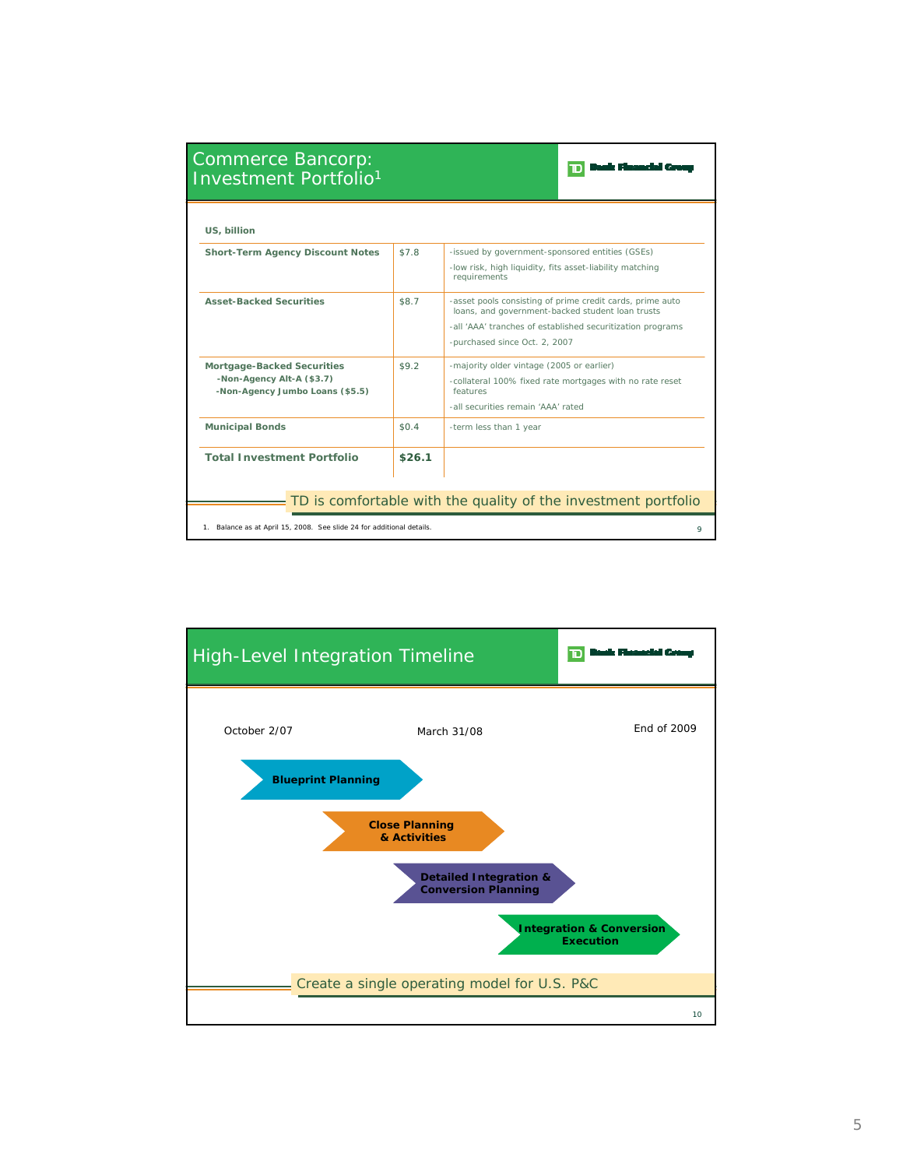| Commerce Bancorp:<br><b>Investment Portfolio1</b>                                          |                                                                |                                                                                                                                                                                                              |  |  |  |
|--------------------------------------------------------------------------------------------|----------------------------------------------------------------|--------------------------------------------------------------------------------------------------------------------------------------------------------------------------------------------------------------|--|--|--|
| US, billion                                                                                |                                                                |                                                                                                                                                                                                              |  |  |  |
| <b>Short-Term Agency Discount Notes</b>                                                    | \$7.8                                                          | -issued by government-sponsored entities (GSEs)<br>-low risk, high liquidity, fits asset-liability matching<br>requirements                                                                                  |  |  |  |
| <b>Asset-Backed Securities</b>                                                             | \$8.7                                                          | -asset pools consisting of prime credit cards, prime auto<br>loans, and government-backed student loan trusts<br>-all 'AAA' tranches of established securitization programs<br>-purchased since Oct. 2, 2007 |  |  |  |
| Mortgage-Backed Securities<br>-Non-Agency Alt-A (\$3.7)<br>-Non-Agency Jumbo Loans (\$5.5) | \$9.2                                                          | -majority older vintage (2005 or earlier)<br>-collateral 100% fixed rate mortgages with no rate reset<br>features<br>-all securities remain 'AAA' rated                                                      |  |  |  |
| <b>Municipal Bonds</b>                                                                     | \$0.4                                                          | -term less than 1 year                                                                                                                                                                                       |  |  |  |
| <b>Total Investment Portfolio</b>                                                          | \$26.1                                                         |                                                                                                                                                                                                              |  |  |  |
|                                                                                            | TD is comfortable with the quality of the investment portfolio |                                                                                                                                                                                                              |  |  |  |
| 1. Balance as at April 15, 2008. See slide 24 for additional details.<br>Q                 |                                                                |                                                                                                                                                                                                              |  |  |  |

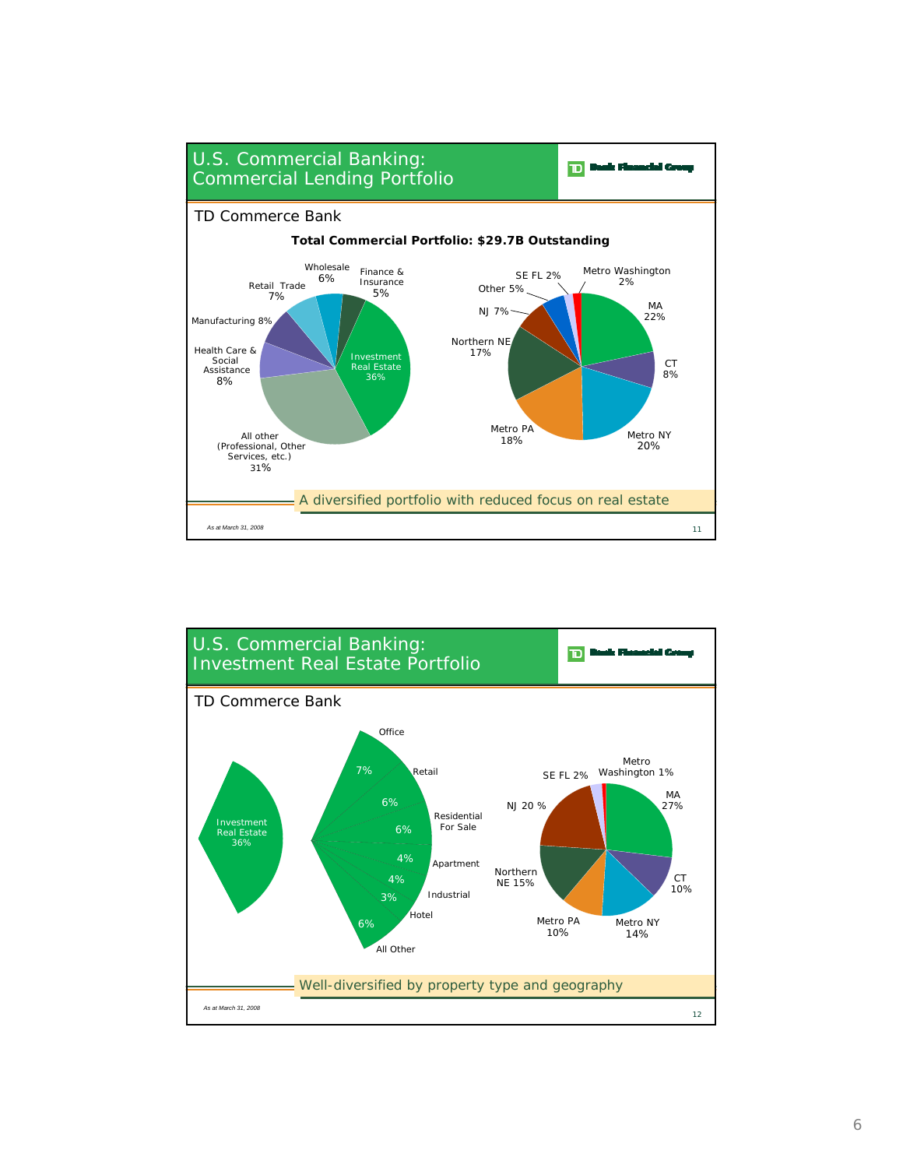

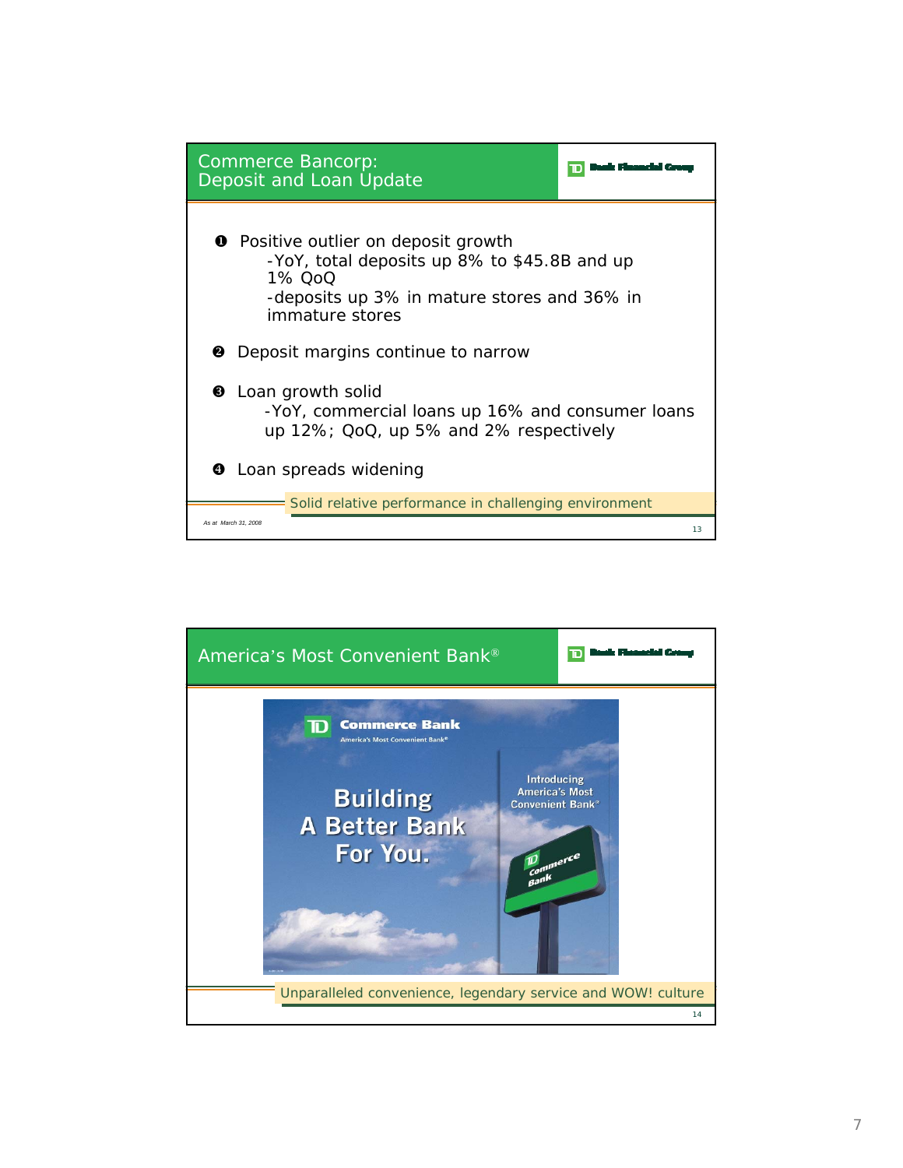

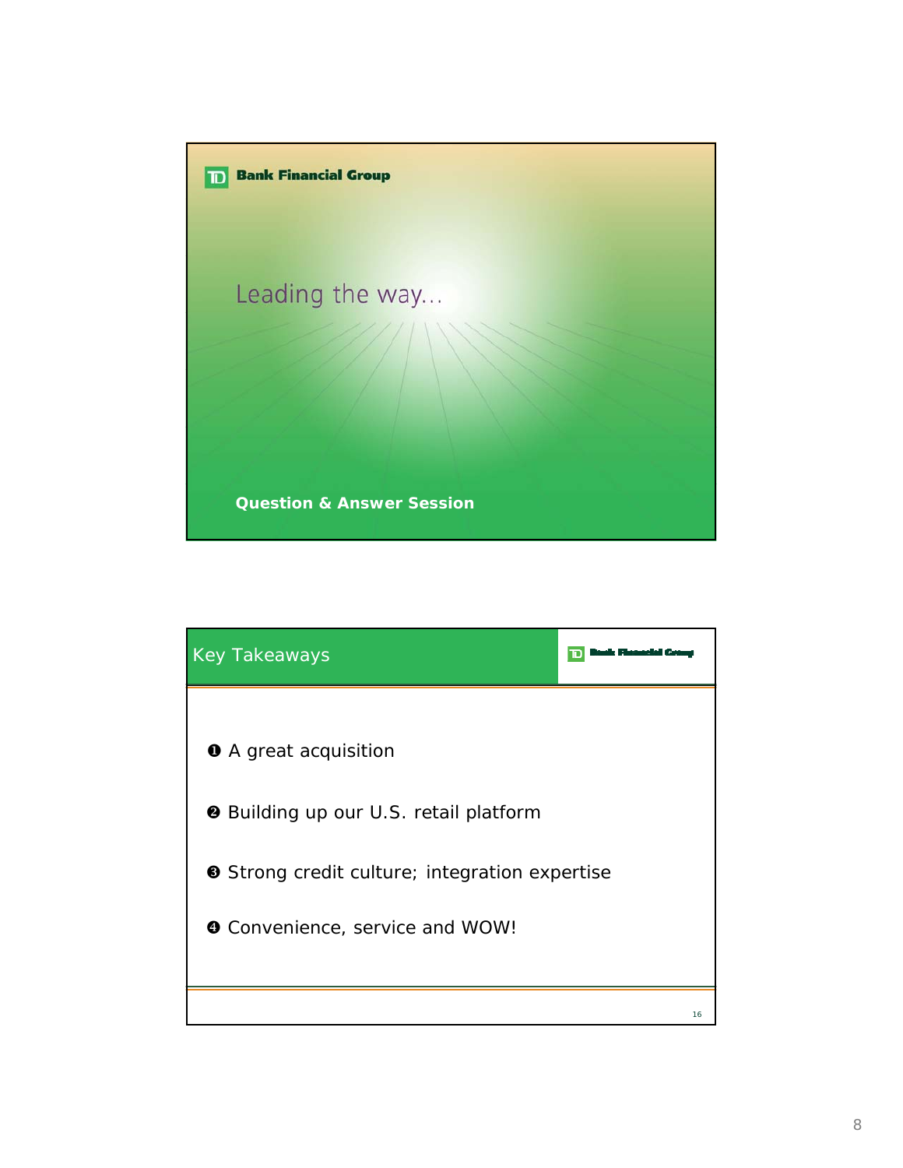

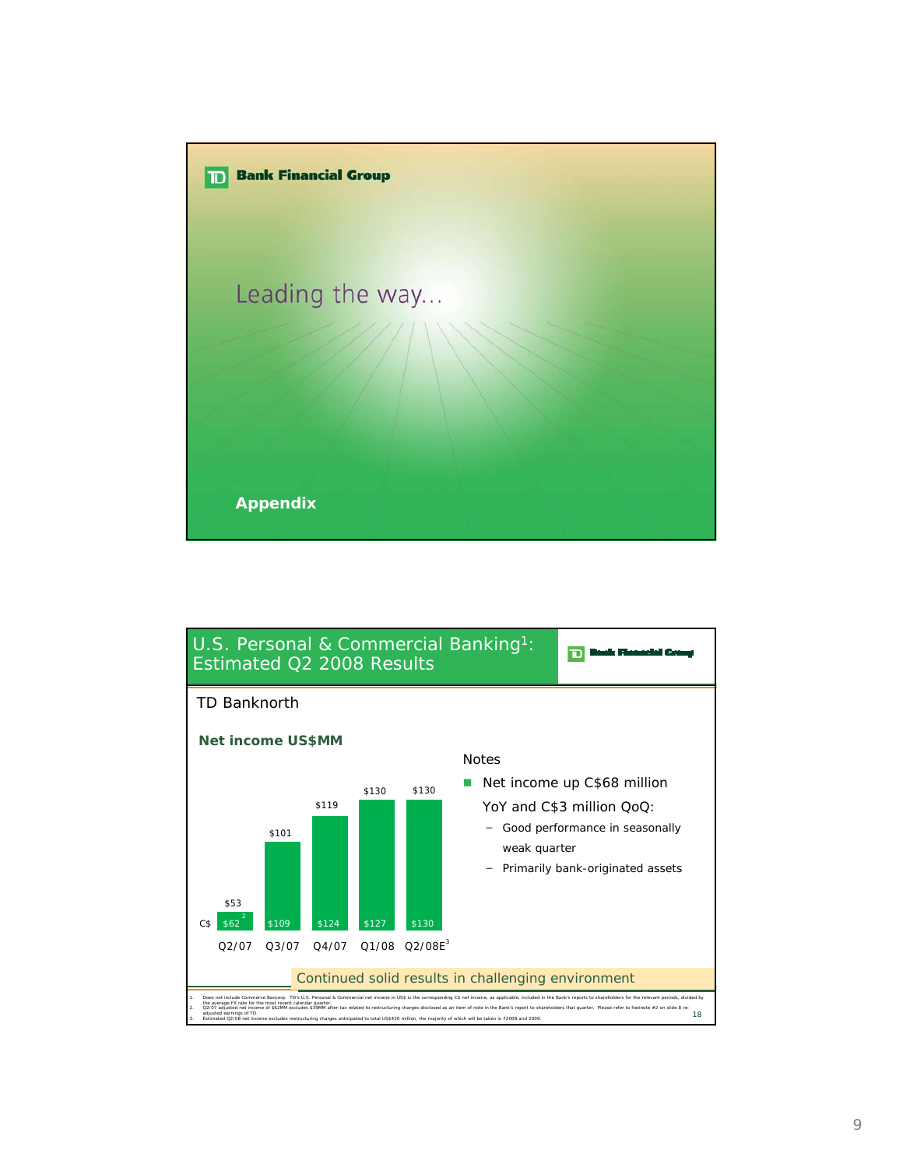

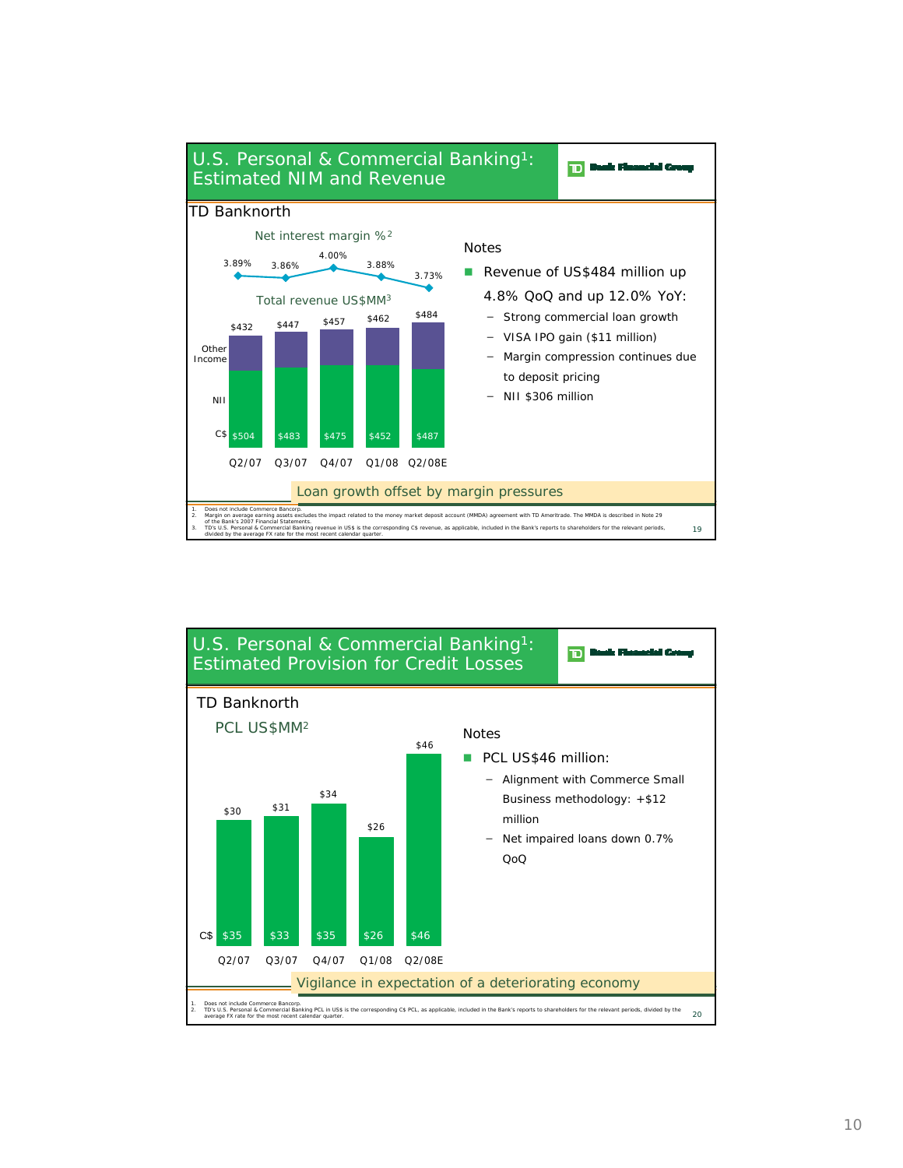

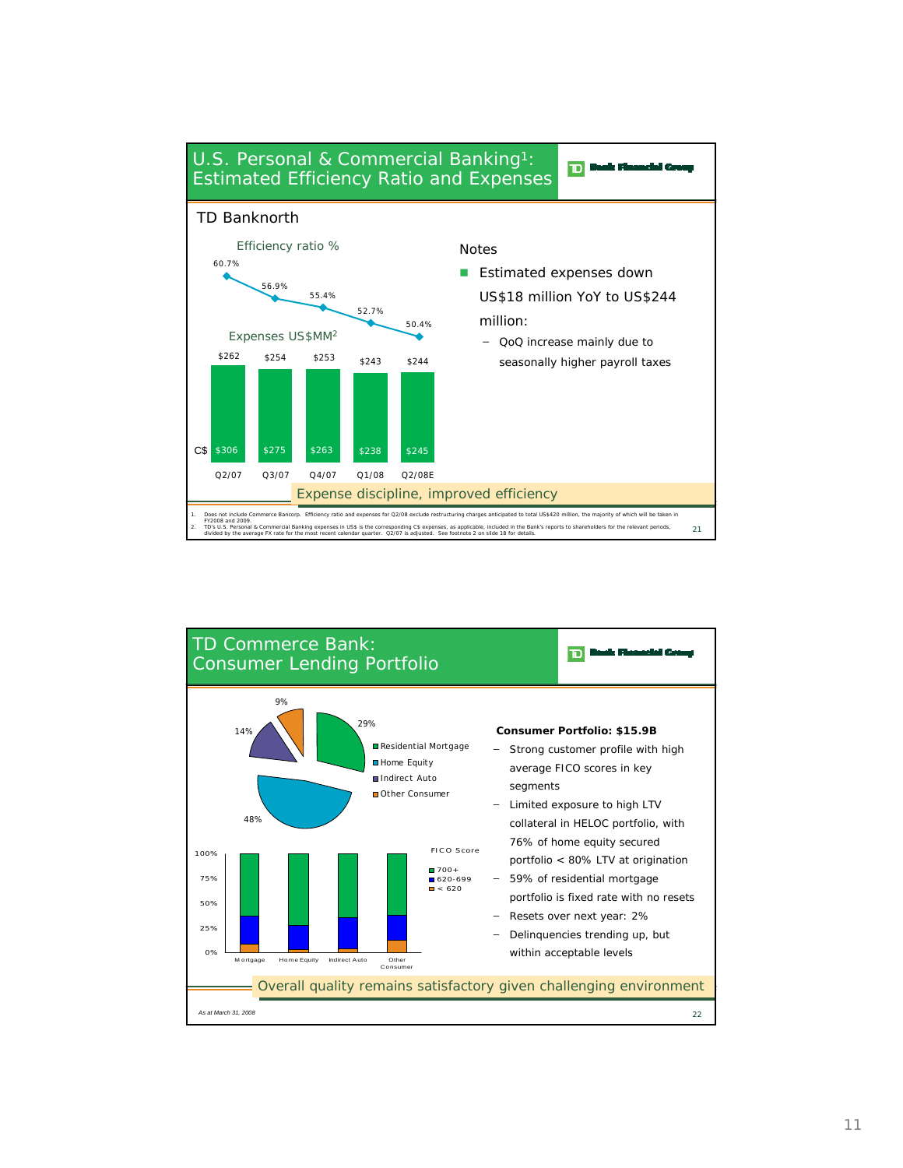